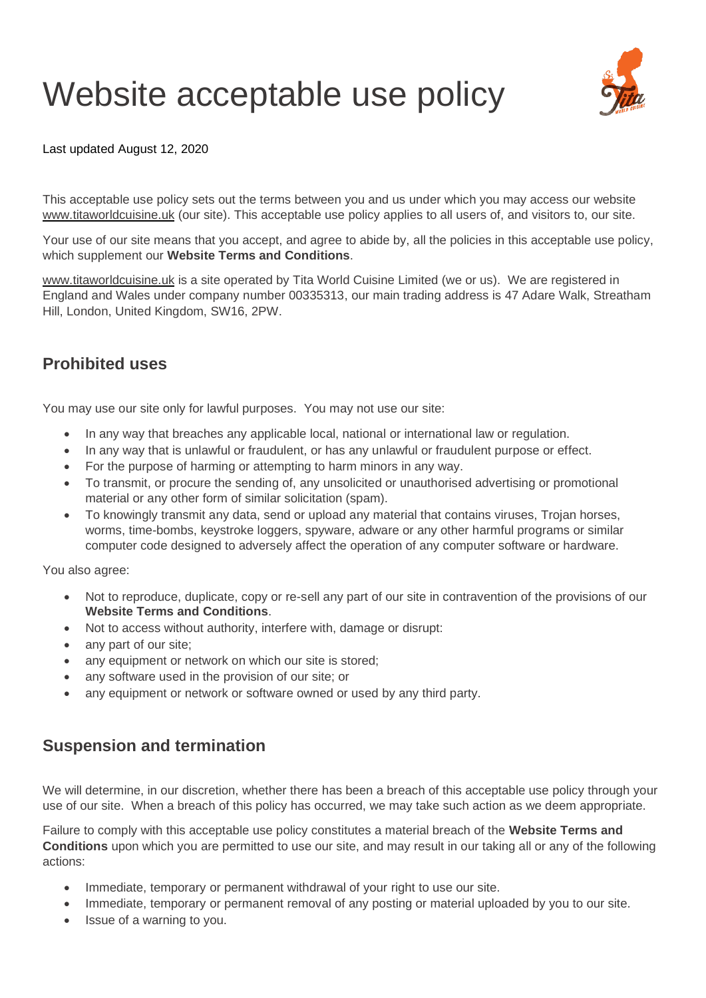## Website acceptable use policy



Last updated August 12, 2020

This acceptable use policy sets out the terms between you and us under which you may access our website [www.titaworldcuisine.uk](http://www.titaworldcuisine.uk/) (our site). This acceptable use policy applies to all users of, and visitors to, our site.

Your use of our site means that you accept, and agree to abide by, all the policies in this acceptable use policy, which supplement our **Website Terms and Conditions**.

[www.titaworldcuisine.uk](http://www.titaworldcuisine.uk/) is a site operated by Tita World Cuisine Limited (we or us). We are registered in England and Wales under company number 00335313, our main trading address is 47 Adare Walk, Streatham Hill, London, United Kingdom, SW16, 2PW.

## **Prohibited uses**

You may use our site only for lawful purposes. You may not use our site:

- In any way that breaches any applicable local, national or international law or regulation.
- In any way that is unlawful or fraudulent, or has any unlawful or fraudulent purpose or effect.
- For the purpose of harming or attempting to harm minors in any way.
- To transmit, or procure the sending of, any unsolicited or unauthorised advertising or promotional material or any other form of similar solicitation (spam).
- To knowingly transmit any data, send or upload any material that contains viruses, Trojan horses, worms, time-bombs, keystroke loggers, spyware, adware or any other harmful programs or similar computer code designed to adversely affect the operation of any computer software or hardware.

You also agree:

- Not to reproduce, duplicate, copy or re-sell any part of our site in contravention of the provisions of our **Website Terms and Conditions**.
- Not to access without authority, interfere with, damage or disrupt:
- any part of our site;
- any equipment or network on which our site is stored;
- any software used in the provision of our site; or
- any equipment or network or software owned or used by any third party.

## **Suspension and termination**

We will determine, in our discretion, whether there has been a breach of this acceptable use policy through your use of our site. When a breach of this policy has occurred, we may take such action as we deem appropriate.

Failure to comply with this acceptable use policy constitutes a material breach of the **Website Terms and Conditions** upon which you are permitted to use our site, and may result in our taking all or any of the following actions:

- Immediate, temporary or permanent withdrawal of your right to use our site.
- Immediate, temporary or permanent removal of any posting or material uploaded by you to our site.
- Issue of a warning to you.